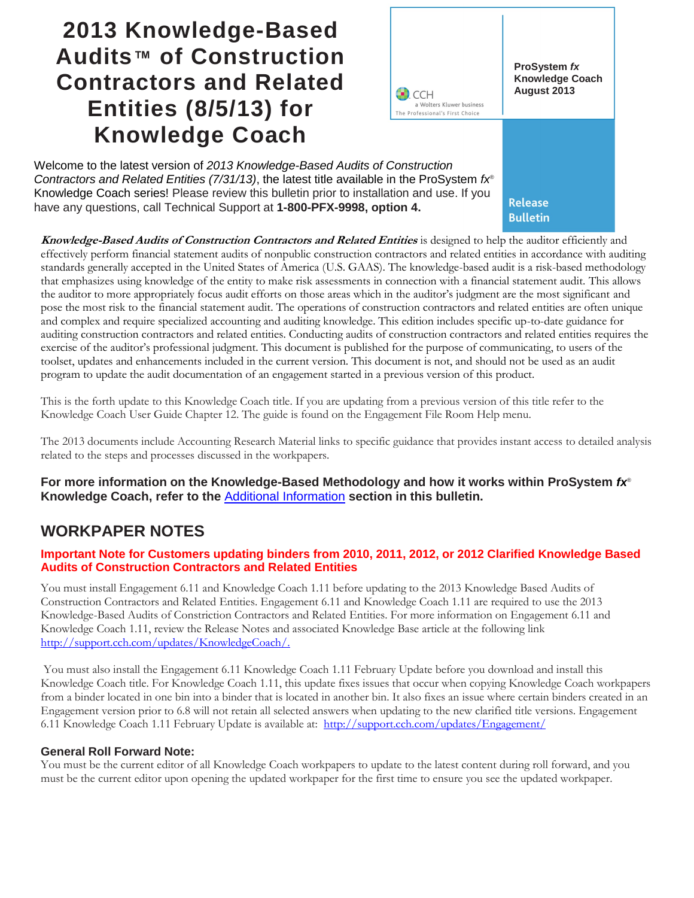# **2013 Knowledge-Based Audits™ of Construction Contractors and Related Entities (8/5/13) for Knowledge Coach**



Welcome to the latest version of *2013 Knowledge-Based Audits of Construction Contractors and Related Entities (7/31/13)*, the latest title available in the ProSystem *fx*® Knowledge Coach series! Please review this bulletin prior to installation and use. If you have any questions, call Technical Support at **1-800-PFX-9998, option 4.**

**Release Bulletin** 

**Knowledge-Based Audits of Construction Contractors and Related Entities** is designed to help the auditor efficiently and effectively perform financial statement audits of nonpublic construction contractors and related entities in accordance with auditing standards generally accepted in the United States of America (U.S. GAAS). The knowledge-based audit is a risk-based methodology that emphasizes using knowledge of the entity to make risk assessments in connection with a financial statement audit. This allows the auditor to more appropriately focus audit efforts on those areas which in the auditor's judgment are the most significant and pose the most risk to the financial statement audit. The operations of construction contractors and related entities are often unique and complex and require specialized accounting and auditing knowledge. This edition includes specific up-to-date guidance for auditing construction contractors and related entities. Conducting audits of construction contractors and related entities requires the exercise of the auditor's professional judgment. This document is published for the purpose of communicating, to users of the toolset, updates and enhancements included in the current version. This document is not, and should not be used as an audit program to update the audit documentation of an engagement started in a previous version of this product.

This is the forth update to this Knowledge Coach title. If you are updating from a previous version of this title refer to the Knowledge Coach User Guide Chapter 12. The guide is found on the Engagement File Room Help menu.

The 2013 documents include Accounting Research Material links to specific guidance that provides instant access to detailed analysis related to the steps and processes discussed in the workpapers.

**For more information on the Knowledge-Based Methodology and how it works within ProSystem** *fx*® **Knowledge Coach, refer to the** [Additional Information](#page-1-0) **section in this bulletin.**

# **WORKPAPER NOTES**

#### **Important Note for Customers updating binders from 2010, 2011, 2012, or 2012 Clarified Knowledge Based Audits of Construction Contractors and Related Entities**

You must install Engagement 6.11 and Knowledge Coach 1.11 before updating to the 2013 Knowledge Based Audits of Construction Contractors and Related Entities. Engagement 6.11 and Knowledge Coach 1.11 are required to use the 2013 Knowledge-Based Audits of Constriction Contractors and Related Entities. For more information on Engagement 6.11 and Knowledge Coach 1.11, review the Release Notes and associated Knowledge Base article at the following link [http://support.cch.com/updates/KnowledgeCoach/.](http://support.cch.com/updates/KnowledgeCoach/) 

You must also install the Engagement 6.11 Knowledge Coach 1.11 February Update before you download and install this Knowledge Coach title. For Knowledge Coach 1.11, this update fixes issues that occur when copying Knowledge Coach workpapers from a binder located in one bin into a binder that is located in another bin. It also fixes an issue where certain binders created in an Engagement version prior to 6.8 will not retain all selected answers when updating to the new clarified title versions. Engagement 6.11 Knowledge Coach 1.11 February Update is available at: <http://support.cch.com/updates/Engagement/>

#### **General Roll Forward Note:**

You must be the current editor of all Knowledge Coach workpapers to update to the latest content during roll forward, and you must be the current editor upon opening the updated workpaper for the first time to ensure you see the updated workpaper.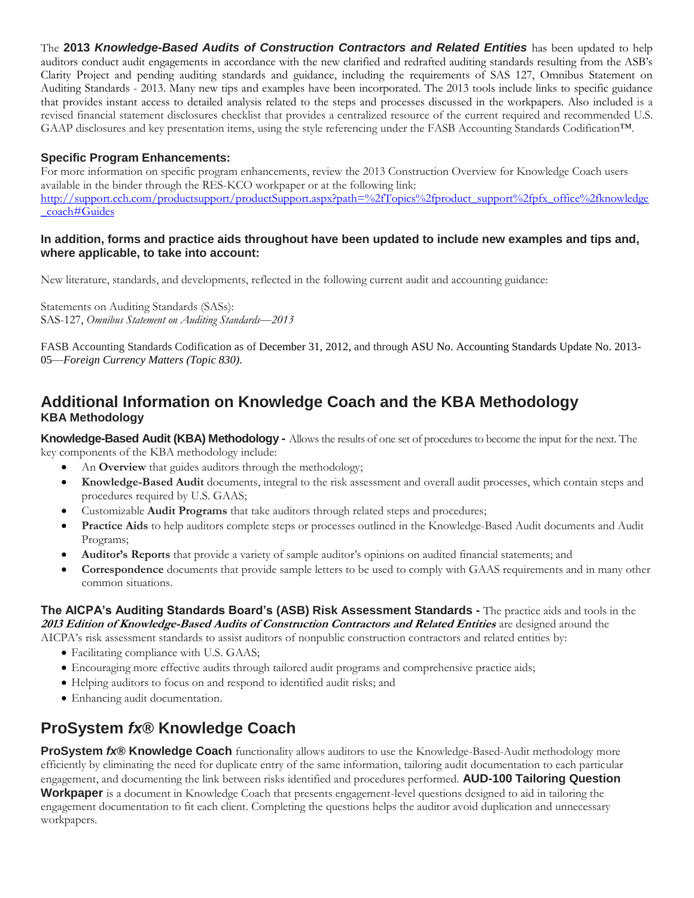The **2013** *Knowledge-Based Audits of Construction Contractors and Related Entities* has been updated to help auditors conduct audit engagements in accordance with the new clarified and redrafted auditing standards resulting from the ASB's Clarity Project and pending auditing standards and guidance, including the requirements of SAS 127, Omnibus Statement on Auditing Standards - 2013. Many new tips and examples have been incorporated. The 2013 tools include links to specific guidance that provides instant access to detailed analysis related to the steps and processes discussed in the workpapers. Also included is a revised financial statement disclosures checklist that provides a centralized resource of the current required and recommended U.S. GAAP disclosures and key presentation items, using the style referencing under the FASB Accounting Standards Codification™.

### **Specific Program Enhancements:**

For more information on specific program enhancements, review the 2013 Construction Overview for Knowledge Coach users available in the binder through the RES-KCO workpaper or at the following link: [http://support.cch.com/productsupport/productSupport.aspx?path=%2fTopics%2fproduct\\_support%2fpfx\\_office%2fknowledge](http://support.cch.com/productsupport/productSupport.aspx?path=%2fTopics%2fproduct_support%2fpfx_office%2fknowledge_coach#Guides) [\\_coach#Guides](http://support.cch.com/productsupport/productSupport.aspx?path=%2fTopics%2fproduct_support%2fpfx_office%2fknowledge_coach#Guides)

#### **In addition, forms and practice aids throughout have been updated to include new examples and tips and, where applicable, to take into account:**

New literature, standards, and developments, reflected in the following current audit and accounting guidance:

Statements on Auditing Standards (SASs): SAS-127, *Omnibus Statement on Auditing Standards*—*2013*

FASB Accounting Standards Codification as of December 31, 2012, and through ASU No. Accounting Standards Update No. 2013- 05—*Foreign Currency Matters (Topic 830).*

# <span id="page-1-0"></span>**Additional Information on Knowledge Coach and the KBA Methodology KBA Methodology**

**Knowledge-Based Audit (KBA) Methodology -** Allowsthe results of one set of procedures to become the input for the next. The key components of the KBA methodology include:

- An **Overview** that guides auditors through the methodology;
- **Knowledge-Based Audit** documents, integral to the risk assessment and overall audit processes, which contain steps and procedures required by U.S. GAAS;
- Customizable **Audit Programs** that take auditors through related steps and procedures;
- **Practice Aids** to help auditors complete steps or processes outlined in the Knowledge-Based Audit documents and Audit Programs;
- **Auditor's Reports** that provide a variety of sample auditor's opinions on audited financial statements; and
- **Correspondence** documents that provide sample letters to be used to comply with GAAS requirements and in many other common situations.

**The AICPA's Auditing Standards Board's (ASB) Risk Assessment Standards -** The practice aids and tools in the **2013 Edition of Knowledge-Based Audits of Construction Contractors and Related Entities** are designed around the AICPA's risk assessment standards to assist auditors of nonpublic construction contractors and related entities by:

- Facilitating compliance with U.S. GAAS;
- Encouraging more effective audits through tailored audit programs and comprehensive practice aids;
- Helping auditors to focus on and respond to identified audit risks; and
- Enhancing audit documentation.

# **ProSystem** *fx***® Knowledge Coach**

**ProSystem** *fx***® Knowledge Coach** functionality allows auditors to use the Knowledge-Based-Audit methodology more efficiently by eliminating the need for duplicate entry of the same information, tailoring audit documentation to each particular engagement, and documenting the link between risks identified and procedures performed. **AUD-100 Tailoring Question Workpaper** is a document in Knowledge Coach that presents engagement-level questions designed to aid in tailoring the engagement documentation to fit each client. Completing the questions helps the auditor avoid duplication and unnecessary workpapers.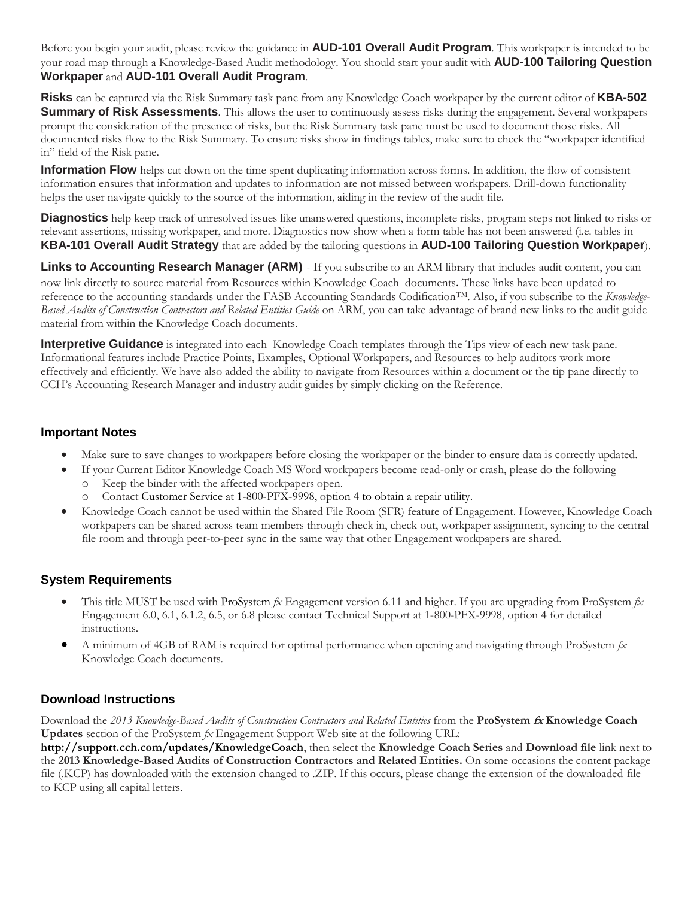Before you begin your audit, please review the guidance in **AUD-101 Overall Audit Program**. This workpaper is intended to be your road map through a Knowledge-Based Audit methodology. You should start your audit with **AUD-100 Tailoring Question Workpaper** and **AUD-101 Overall Audit Program**.

**Risks** can be captured via the Risk Summary task pane from any Knowledge Coach workpaper by the current editor of **KBA-502 Summary of Risk Assessments**. This allows the user to continuously assess risks during the engagement. Several workpapers prompt the consideration of the presence of risks, but the Risk Summary task pane must be used to document those risks. All documented risks flow to the Risk Summary. To ensure risks show in findings tables, make sure to check the "workpaper identified in" field of the Risk pane.

**Information Flow** helps cut down on the time spent duplicating information across forms. In addition, the flow of consistent information ensures that information and updates to information are not missed between workpapers. Drill-down functionality helps the user navigate quickly to the source of the information, aiding in the review of the audit file.

**Diagnostics** help keep track of unresolved issues like unanswered questions, incomplete risks, program steps not linked to risks or relevant assertions, missing workpaper, and more. Diagnostics now show when a form table has not been answered (i.e. tables in **KBA-101 Overall Audit Strategy** that are added by the tailoring questions in **AUD-100 Tailoring Question Workpaper**).

Links to Accounting Research Manager (ARM) - If you subscribe to an ARM library that includes audit content, you can now link directly to source material from Resources within Knowledge Coach documents. These links have been updated to reference to the accounting standards under the FASB Accounting Standards Codification<sup>TM</sup>. Also, if you subscribe to the *Knowledge-Based Audits of Construction Contractors and Related Entities Guide* on ARM, you can take advantage of brand new links to the audit guide material from within the Knowledge Coach documents.

**Interpretive Guidance** is integrated into each Knowledge Coach templates through the Tips view of each new task pane. Informational features include Practice Points, Examples, Optional Workpapers, and Resources to help auditors work more effectively and efficiently. We have also added the ability to navigate from Resources within a document or the tip pane directly to CCH's Accounting Research Manager and industry audit guides by simply clicking on the Reference.

### **Important Notes**

- Make sure to save changes to workpapers before closing the workpaper or the binder to ensure data is correctly updated.
- If your Current Editor Knowledge Coach MS Word workpapers become read-only or crash, please do the following o Keep the binder with the affected workpapers open.
	- Contact Customer Service at 1-800-PFX-9998, option 4 to obtain a repair utility.
- Knowledge Coach cannot be used within the Shared File Room (SFR) feature of Engagement. However, Knowledge Coach workpapers can be shared across team members through check in, check out, workpaper assignment, syncing to the central file room and through peer-to-peer sync in the same way that other Engagement workpapers are shared.

# **System Requirements**

- This title MUST be used with ProSystem *fx* Engagement version 6.11 and higher. If you are upgrading from ProSystem *fx*  Engagement 6.0, 6.1, 6.1.2, 6.5, or 6.8 please contact Technical Support at 1-800-PFX-9998, option 4 for detailed instructions.
- A minimum of 4GB of RAM is required for optimal performance when opening and navigating through ProSystem *fx*  Knowledge Coach documents.

# **Download Instructions**

Download the *2013 Knowledge-Based Audits of Construction Contractors and Related Entities* from the **ProSystem fx Knowledge Coach Updates** section of the ProSystem *fx* Engagement Support Web site at the following URL:

**http://support.cch.com/updates/KnowledgeCoach**, then select the **Knowledge Coach Series** and **Download file** link next to the **2013 Knowledge-Based Audits of Construction Contractors and Related Entities.** On some occasions the content package file (.KCP) has downloaded with the extension changed to .ZIP. If this occurs, please change the extension of the downloaded file to KCP using all capital letters.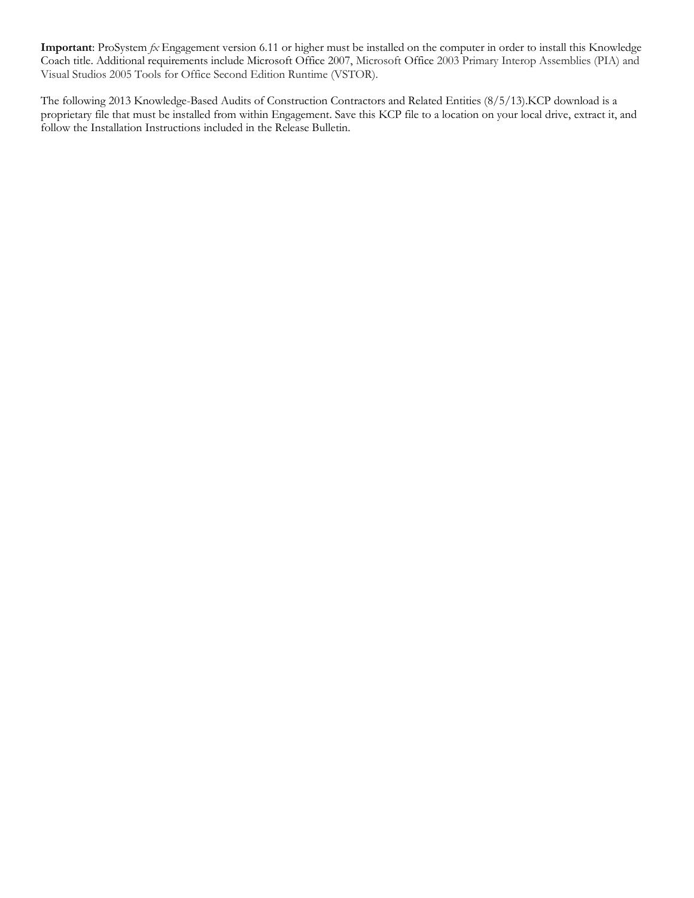**Important**: ProSystem *fx* Engagement version 6.11 or higher must be installed on the computer in order to install this Knowledge Coach title. Additional requirements include Microsoft Office 2007, Microsoft Office 2003 Primary Interop Assemblies (PIA) and Visual Studios 2005 Tools for Office Second Edition Runtime (VSTOR).

The following 2013 Knowledge-Based Audits of Construction Contractors and Related Entities (8/5/13).KCP download is a proprietary file that must be installed from within Engagement. Save this KCP file to a location on your local drive, extract it, and follow the Installation Instructions included in the Release Bulletin.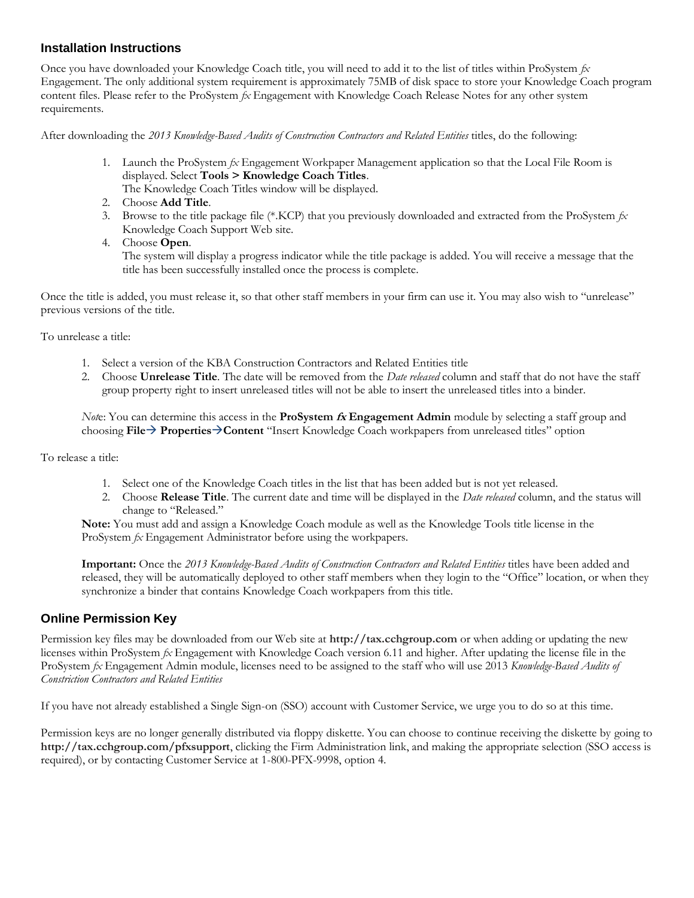#### **Installation Instructions**

Once you have downloaded your Knowledge Coach title, you will need to add it to the list of titles within ProSystem *fx*  Engagement. The only additional system requirement is approximately 75MB of disk space to store your Knowledge Coach program content files. Please refer to the ProSystem *fx* Engagement with Knowledge Coach Release Notes for any other system requirements.

After downloading the *2013 Knowledge-Based Audits of Construction Contractors and Related Entities* titles, do the following:

1. Launch the ProSystem *fx* Engagement Workpaper Management application so that the Local File Room is displayed. Select **Tools > Knowledge Coach Titles**.

The Knowledge Coach Titles window will be displayed.

- 2. Choose **Add Title**.
- 3. Browse to the title package file (\*.KCP) that you previously downloaded and extracted from the ProSystem *fx*  Knowledge Coach Support Web site.
- 4. Choose **Open**.

The system will display a progress indicator while the title package is added. You will receive a message that the title has been successfully installed once the process is complete.

Once the title is added, you must release it, so that other staff members in your firm can use it. You may also wish to "unrelease" previous versions of the title.

To unrelease a title:

- 1. Select a version of the KBA Construction Contractors and Related Entities title
- 2. Choose **Unrelease Title**. The date will be removed from the *Date released* column and staff that do not have the staff group property right to insert unreleased titles will not be able to insert the unreleased titles into a binder.

*Not*e: You can determine this access in the **ProSystem fx Engagement Admin** module by selecting a staff group and choosing **File PropertiesContent** "Insert Knowledge Coach workpapers from unreleased titles" option

To release a title:

- 1. Select one of the Knowledge Coach titles in the list that has been added but is not yet released.
- 2. Choose **Release Title**. The current date and time will be displayed in the *Date released* column, and the status will change to "Released."

**Note:** You must add and assign a Knowledge Coach module as well as the Knowledge Tools title license in the ProSystem *fx* Engagement Administrator before using the workpapers.

**Important:** Once the *2013 Knowledge-Based Audits of Construction Contractors and Related Entities* titles have been added and released, they will be automatically deployed to other staff members when they login to the "Office" location, or when they synchronize a binder that contains Knowledge Coach workpapers from this title.

#### **Online Permission Key**

Permission key files may be downloaded from our Web site at **http://tax.cchgroup.com** or when adding or updating the new licenses within ProSystem *fx* Engagement with Knowledge Coach version 6.11 and higher. After updating the license file in the ProSystem *fx* Engagement Admin module, licenses need to be assigned to the staff who will use 2013 *Knowledge-Based Audits of Constriction Contractors and Related Entities*

If you have not already established a Single Sign-on (SSO) account with Customer Service, we urge you to do so at this time.

Permission keys are no longer generally distributed via floppy diskette. You can choose to continue receiving the diskette by going to **http://tax.cchgroup.com/pfxsupport**, clicking the Firm Administration link, and making the appropriate selection (SSO access is required), or by contacting Customer Service at 1-800-PFX-9998, option 4.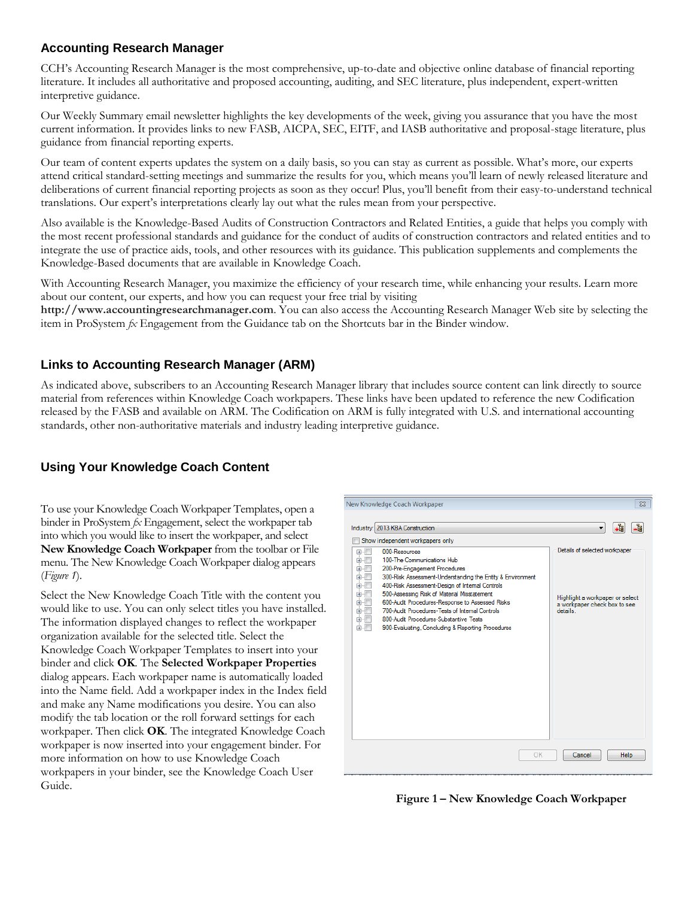### **Accounting Research Manager**

CCH's Accounting Research Manager is the most comprehensive, up-to-date and objective online database of financial reporting literature. It includes all authoritative and proposed accounting, auditing, and SEC literature, plus independent, expert-written interpretive guidance.

Our Weekly Summary email newsletter highlights the key developments of the week, giving you assurance that you have the most current information. It provides links to new FASB, AICPA, SEC, EITF, and IASB authoritative and proposal-stage literature, plus guidance from financial reporting experts.

Our team of content experts updates the system on a daily basis, so you can stay as current as possible. What's more, our experts attend critical standard-setting meetings and summarize the results for you, which means you'll learn of newly released literature and deliberations of current financial reporting projects as soon as they occur! Plus, you'll benefit from their easy-to-understand technical translations. Our expert's interpretations clearly lay out what the rules mean from your perspective.

Also available is the Knowledge-Based Audits of Construction Contractors and Related Entities, a guide that helps you comply with the most recent professional standards and guidance for the conduct of audits of construction contractors and related entities and to integrate the use of practice aids, tools, and other resources with its guidance. This publication supplements and complements the Knowledge-Based documents that are available in Knowledge Coach.

With Accounting Research Manager, you maximize the efficiency of your research time, while enhancing your results. Learn more about our content, our experts, and how you can request your free trial by visiting

**http://www.accountingresearchmanager.com**. You can also access the Accounting Research Manager Web site by selecting the item in ProSystem *fx* Engagement from the Guidance tab on the Shortcuts bar in the Binder window.

### **Links to Accounting Research Manager (ARM)**

As indicated above, subscribers to an Accounting Research Manager library that includes source content can link directly to source material from references within Knowledge Coach workpapers. These links have been updated to reference the new Codification released by the FASB and available on ARM. The Codification on ARM is fully integrated with U.S. and international accounting standards, other non-authoritative materials and industry leading interpretive guidance.

# **Using Your Knowledge Coach Content**

To use your Knowledge Coach Workpaper Templates, open a binder in ProSystem *fx* Engagement, select the workpaper tab into which you would like to insert the workpaper, and select **New Knowledge Coach Workpaper** from the toolbar or File menu. The New Knowledge Coach Workpaper dialog appears (*Figure 1*).

Select the New Knowledge Coach Title with the content you would like to use. You can only select titles you have installed. The information displayed changes to reflect the workpaper organization available for the selected title. Select the Knowledge Coach Workpaper Templates to insert into your binder and click **OK**. The **Selected Workpaper Properties** dialog appears. Each workpaper name is automatically loaded into the Name field. Add a workpaper index in the Index field and make any Name modifications you desire. You can also modify the tab location or the roll forward settings for each workpaper. Then click **OK**. The integrated Knowledge Coach workpaper is now inserted into your engagement binder. For more information on how to use Knowledge Coach workpapers in your binder, see the Knowledge Coach User Guide.



**Figure 1 – New Knowledge Coach Workpaper**